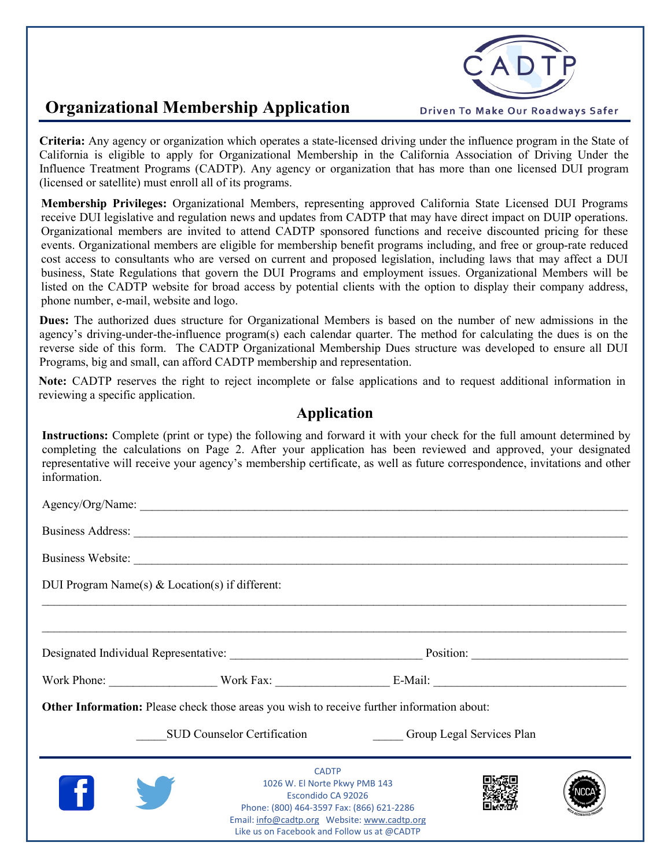

## **Organizational Membership Application**

**Criteria:** Any agency or organization which operates a state-licensed driving under the influence program in the State of California is eligible to apply for Organizational Membership in the California Association of Driving Under the Influence Treatment Programs (CADTP). Any agency or organization that has more than one licensed DUI program (licensed or satellite) must enroll all of its programs.

**Membership Privileges:** Organizational Members, representing approved California State Licensed DUI Programs receive DUI legislative and regulation news and updates from CADTP that may have direct impact on DUIP operations. Organizational members are invited to attend CADTP sponsored functions and receive discounted pricing for these events. Organizational members are eligible for membership benefit programs including, and free or group-rate reduced cost access to consultants who are versed on current and proposed legislation, including laws that may affect a DUI business, State Regulations that govern the DUI Programs and employment issues. Organizational Members will be listed on the CADTP website for broad access by potential clients with the option to display their company address, phone number, e-mail, website and logo.

**Dues:** The authorized dues structure for Organizational Members is based on the number of new admissions in the agency's driving-under-the-influence program(s) each calendar quarter. The method for calculating the dues is on the reverse side of this form. The CADTP Organizational Membership Dues structure was developed to ensure all DUI Programs, big and small, can afford CADTP membership and representation.

**Note:** CADTP reserves the right to reject incomplete or false applications and to request additional information in reviewing a specific application.

## **Application**

**Instructions:** Complete (print or type) the following and forward it with your check for the full amount determined by completing the calculations on Page 2. After your application has been reviewed and approved, your designated representative will receive your agency's membership certificate, as well as future correspondence, invitations and other information.

| DUI Program Name(s) $& Location(s)$ if different: |                                                                                                                                                                 |                                       |  |
|---------------------------------------------------|-----------------------------------------------------------------------------------------------------------------------------------------------------------------|---------------------------------------|--|
|                                                   |                                                                                                                                                                 |                                       |  |
|                                                   |                                                                                                                                                                 |                                       |  |
|                                                   |                                                                                                                                                                 | Work Phone: Work Fax: E-Mail: E-Mail: |  |
|                                                   | <b>Other Information:</b> Please check those areas you wish to receive further information about:                                                               |                                       |  |
|                                                   | <b>SUD Counselor Certification</b>                                                                                                                              | <b>Group Legal Services Plan</b>      |  |
|                                                   | <b>CADTP</b><br>1026 W. El Norte Pkwy PMB 143<br>Escondido CA 92026<br>Phone: (800) 464-3597 Fax: (866) 621-2286<br>Like us on Facebook and Follow us at @CADTP |                                       |  |